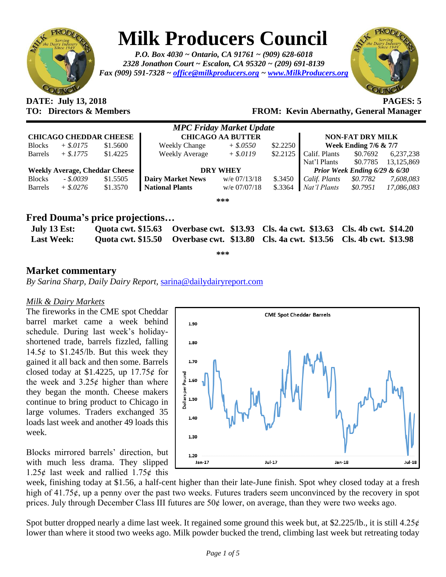

# **Milk Producers Council**

*P.O. Box 4030 ~ Ontario, CA 91761 ~ (909) 628-6018 2328 Jonathon Court ~ Escalon, CA 95320 ~ (209) 691-8139 Fax (909) 591-7328 ~ [office@milkproducers.org](mailto:office@milkproducers.org) ~ [www.MilkProducers.org](http://www.milkproducers.org/)*



## **DATE: July 13, 2018 PAGES: 5**

## **TO: Directors & Members FROM: Kevin Abernathy, General Manager**

| <b>MPC Friday Market Update</b>       |             |          |                          |              |          |                                  |          |            |  |  |  |
|---------------------------------------|-------------|----------|--------------------------|--------------|----------|----------------------------------|----------|------------|--|--|--|
| <b>CHICAGO CHEDDAR CHEESE</b>         |             |          | <b>CHICAGO AA BUTTER</b> |              |          | <b>NON-FAT DRY MILK</b>          |          |            |  |  |  |
| <b>Blocks</b>                         | $+$ \$.0175 | \$1.5600 | <b>Weekly Change</b>     | $+$ \$.0550  | \$2.2250 | <b>Week Ending 7/6 &amp; 7/7</b> |          |            |  |  |  |
| <b>Barrels</b>                        | $+$ \$.1775 | \$1.4225 | <b>Weekly Average</b>    | $+$ \$.0119  | \$2.2125 | Calif. Plants                    | \$0.7692 | 6,237,238  |  |  |  |
|                                       |             |          |                          |              |          | Nat'l Plants                     | \$0.7785 | 13,125,869 |  |  |  |
| <b>Weekly Average, Cheddar Cheese</b> |             |          | <b>DRY WHEY</b>          |              |          | Prior Week Ending 6/29 & 6/30    |          |            |  |  |  |
| <b>Blocks</b>                         | $-.50039$   | \$1.5505 | <b>Dairy Market News</b> | w/e 07/13/18 | \$.3450  | Calif. Plants                    | \$0.7782 | 7,608,083  |  |  |  |
| <b>Barrels</b>                        | $+$ \$.0276 | \$1.3570 | National Plants          | w/e 07/07/18 | \$.3364  | Nat'l Plants                     | \$0.7951 | 17,086,083 |  |  |  |
| ***                                   |             |          |                          |              |          |                                  |          |            |  |  |  |

## **Fred Douma's price projections…**

| July 13 Est:<br><b>Last Week:</b> |  | Quota cwt. \$15.63 Overbase cwt. \$13.93 Cls. 4a cwt. \$13.63 Cls. 4b cwt. \$14.20<br>Quota cwt. \$15.50 Overbase cwt. \$13.80 Cls. 4a cwt. \$13.56 Cls. 4b cwt. \$13.98 |  |  |  |  |  |  |
|-----------------------------------|--|--------------------------------------------------------------------------------------------------------------------------------------------------------------------------|--|--|--|--|--|--|
| میں میں میں                       |  |                                                                                                                                                                          |  |  |  |  |  |  |

### **Market commentary**

*By Sarina Sharp, Daily Dairy Report,* [sarina@dailydairyreport.com](mailto:sarina@dailydairyreport.com)

#### *Milk & Dairy Markets*

The fireworks in the CME spot Cheddar barrel market came a week behind schedule. During last week's holidayshortened trade, barrels fizzled, falling 14.5 $\phi$  to \$1.245/lb. But this week they gained it all back and then some. Barrels closed today at \$1.4225, up  $17.75¢$  for the week and  $3.25¢$  higher than where they began the month. Cheese makers continue to bring product to Chicago in large volumes. Traders exchanged 35 loads last week and another 49 loads this week.

Blocks mirrored barrels' direction, but with much less drama. They slipped 1.25 $\epsilon$  last week and rallied 1.75 $\epsilon$  this



week, finishing today at \$1.56, a half-cent higher than their late-June finish. Spot whey closed today at a fresh high of  $41.75\ell$ , up a penny over the past two weeks. Futures traders seem unconvinced by the recovery in spot prices. July through December Class III futures are  $50¢$  lower, on average, than they were two weeks ago.

Spot butter dropped nearly a dime last week. It regained some ground this week but, at \$2.225/lb., it is still  $4.25¢$ lower than where it stood two weeks ago. Milk powder bucked the trend, climbing last week but retreating today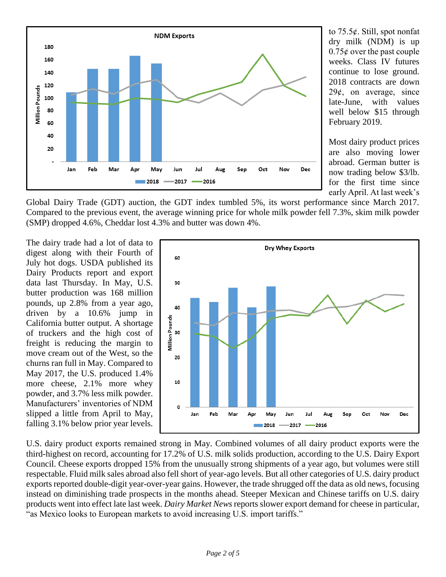

to 75.5ȼ. Still, spot nonfat dry milk (NDM) is up  $0.75\epsilon$  over the past couple weeks. Class IV futures continue to lose ground. 2018 contracts are down  $29¢$ , on average, since late-June, with values well below \$15 through February 2019.

Most dairy product prices are also moving lower abroad. German butter is now trading below \$3/lb. for the first time since early April. At last week's

Global Dairy Trade (GDT) auction, the GDT index tumbled 5%, its worst performance since March 2017. Compared to the previous event, the average winning price for whole milk powder fell 7.3%, skim milk powder (SMP) dropped 4.6%, Cheddar lost 4.3% and butter was down 4%.

The dairy trade had a lot of data to digest along with their Fourth of July hot dogs. USDA published its Dairy Products report and export data last Thursday. In May, U.S. butter production was 168 million pounds, up 2.8% from a year ago, driven by a 10.6% jump in California butter output. A shortage of truckers and the high cost of freight is reducing the margin to move cream out of the West, so the churns ran full in May. Compared to May 2017, the U.S. produced 1.4% more cheese, 2.1% more whey powder, and 3.7% less milk powder. Manufacturers' inventories of NDM slipped a little from April to May, falling 3.1% below prior year levels.



U.S. dairy product exports remained strong in May. Combined volumes of all dairy product exports were the third-highest on record, accounting for 17.2% of U.S. milk solids production, according to the U.S. Dairy Export Council. Cheese exports dropped 15% from the unusually strong shipments of a year ago, but volumes were still respectable. Fluid milk sales abroad also fell short of year-ago levels. But all other categories of U.S. dairy product exports reported double-digit year-over-year gains. However, the trade shrugged off the data as old news, focusing instead on diminishing trade prospects in the months ahead. Steeper Mexican and Chinese tariffs on U.S. dairy products went into effect late last week. *Dairy Market News* reports slower export demand for cheese in particular, "as Mexico looks to European markets to avoid increasing U.S. import tariffs."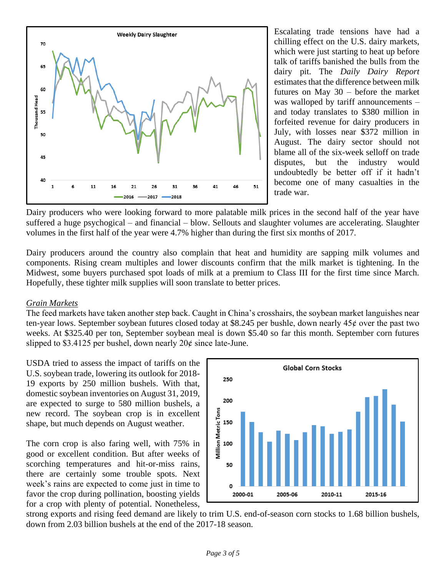

Escalating trade tensions have had a chilling effect on the U.S. dairy markets, which were just starting to heat up before talk of tariffs banished the bulls from the dairy pit. The *Daily Dairy Report* estimates that the difference between milk futures on May 30 – before the market was walloped by tariff announcements – and today translates to \$380 million in forfeited revenue for dairy producers in July, with losses near \$372 million in August. The dairy sector should not blame all of the six-week selloff on trade disputes, but the industry would undoubtedly be better off if it hadn't become one of many casualties in the trade war.

Dairy producers who were looking forward to more palatable milk prices in the second half of the year have suffered a huge psychogical – and financial – blow. Sellouts and slaughter volumes are accelerating. Slaughter volumes in the first half of the year were 4.7% higher than during the first six months of 2017.

Dairy producers around the country also complain that heat and humidity are sapping milk volumes and components. Rising cream multiples and lower discounts confirm that the milk market is tightening. In the Midwest, some buyers purchased spot loads of milk at a premium to Class III for the first time since March. Hopefully, these tighter milk supplies will soon translate to better prices.

#### *Grain Markets*

The feed markets have taken another step back. Caught in China's crosshairs, the soybean market languishes near ten-year lows. September soybean futures closed today at \$8.245 per bushle, down nearly  $45¢$  over the past two weeks. At \$325.40 per ton, September soybean meal is down \$5.40 so far this month. September corn futures slipped to \$3.4125 per bushel, down nearly  $20¢$  since late-June.

USDA tried to assess the impact of tariffs on the U.S. soybean trade, lowering its outlook for 2018- 19 exports by 250 million bushels. With that, domestic soybean inventories on August 31, 2019, are expected to surge to 580 million bushels, a new record. The soybean crop is in excellent shape, but much depends on August weather.

The corn crop is also faring well, with 75% in good or excellent condition. But after weeks of scorching temperatures and hit-or-miss rains, there are certainly some trouble spots. Next week's rains are expected to come just in time to favor the crop during pollination, boosting yields for a crop with plenty of potential. Nonetheless,



strong exports and rising feed demand are likely to trim U.S. end-of-season corn stocks to 1.68 billion bushels, down from 2.03 billion bushels at the end of the 2017-18 season.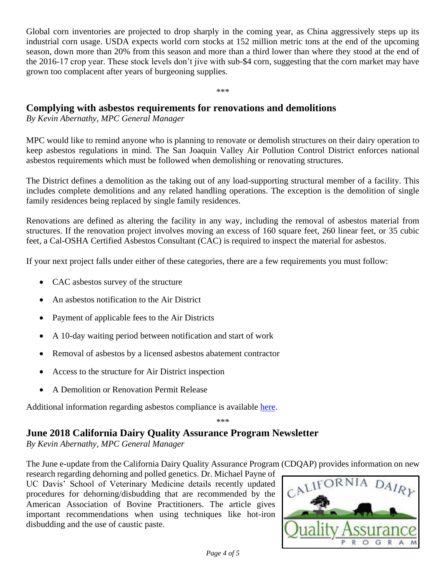Global corn inventories are projected to drop sharply in the coming year, as China aggressively steps up its industrial corn usage. USDA expects world corn stocks at 152 million metric tons at the end of the upcoming season, down more than 20% from this season and more than a third lower than where they stood at the end of the 2016-17 crop year. These stock levels don't jive with sub-\$4 corn, suggesting that the corn market may have grown too complacent after years of burgeoning supplies.

\*\*\*

## **Complying with asbestos requirements for renovations and demolitions**

*By Kevin Abernathy, MPC General Manager* 

MPC would like to remind anyone who is planning to renovate or demolish structures on their dairy operation to keep asbestos regulations in mind. The San Joaquin Valley Air Pollution Control District enforces national asbestos requirements which must be followed when demolishing or renovating structures.

The District defines a demolition as the taking out of any load-supporting structural member of a facility. This includes complete demolitions and any related handling operations. The exception is the demolition of single family residences being replaced by single family residences.

Renovations are defined as altering the facility in any way, including the removal of asbestos material from structures. If the renovation project involves moving an excess of 160 square feet, 260 linear feet, or 35 cubic feet, a Cal-OSHA Certified Asbestos Consultant (CAC) is required to inspect the material for asbestos.

If your next project falls under either of these categories, there are a few requirements you must follow:

- CAC asbestos survey of the structure
- An asbestos notification to the Air District
- Payment of applicable fees to the Air Districts
- A 10-day waiting period between notification and start of work
- Removal of asbestos by a licensed asbestos abatement contractor
- Access to the structure for Air District inspection
- A Demolition or Renovation Permit Release

Additional information regarding asbestos compliance is available [here.](http://www.valleyair.org/busind/comply/asbestosbultn.htm)

\*\*\*

## **June 2018 California Dairy Quality Assurance Program Newsletter**

*By Kevin Abernathy, MPC General Manager* 

The June e-update from the California Dairy Quality Assurance Program (CDQAP) provides information on new

research regarding dehorning and polled genetics. Dr. Michael Payne of UC Davis' School of Veterinary Medicine details recently updated procedures for dehorning/disbudding that are recommended by the American Association of Bovine Practitioners. The article gives important recommendations when using techniques like hot-iron disbudding and the use of caustic paste.